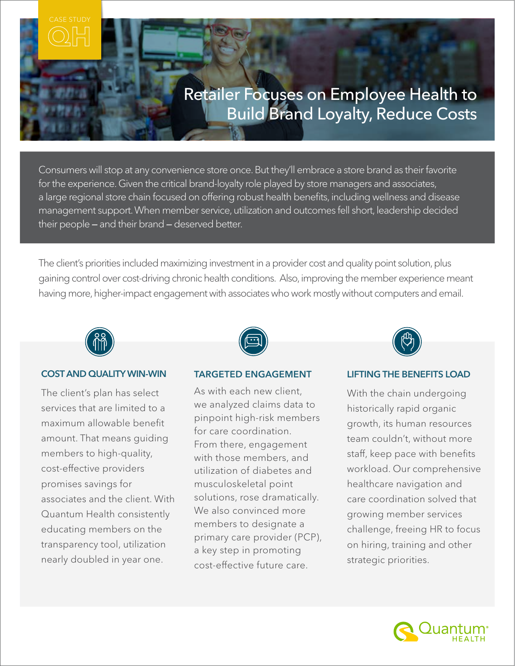

Consumers will stop at any convenience store once. But they'll embrace a store brand as their favorite for the experience. Given the critical brand-loyalty role played by store managers and associates, a large regional store chain focused on offering robust health benefits, including wellness and disease management support. When member service, utilization and outcomes fell short, leadership decided their people *—* and their brand *—* deserved better.

The client's priorities included maximizing investment in a provider cost and quality point solution, plus gaining control over cost-driving chronic health conditions. Also, improving the member experience meant having more, higher-impact engagement with associates who work mostly without computers and email.



#### COST AND QUALITY WIN-WIN

The client's plan has select services that are limited to a maximum allowable benefit amount. That means guiding members to high-quality, cost-effective providers promises savings for associates and the client. With Quantum Health consistently educating members on the transparency tool, utilization nearly doubled in year one.

### TARGETED ENGAGEMENT

As with each new client, we analyzed claims data to pinpoint high-risk members for care coordination. From there, engagement with those members, and utilization of diabetes and musculoskeletal point solutions, rose dramatically. We also convinced more members to designate a primary care provider (PCP), a key step in promoting cost-effective future care.



## LIFTING THE BENEFITS LOAD

With the chain undergoing historically rapid organic growth, its human resources team couldn't, without more staff, keep pace with benefits workload. Our comprehensive healthcare navigation and care coordination solved that growing member services challenge, freeing HR to focus on hiring, training and other strategic priorities.